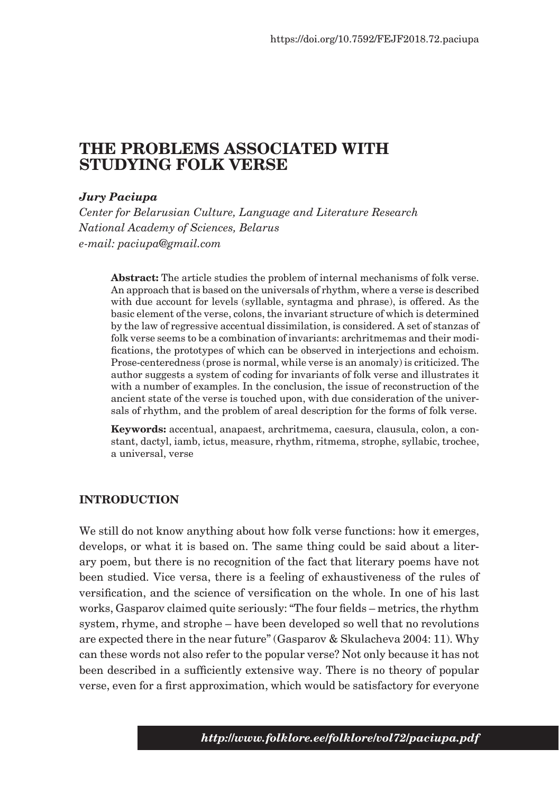# **THE PROBLEMS ASSOCIATED WITH STUDYING FOLK VERSE**

### *Jury Paciupa*

*Center for Belarusian Culture, Language and Literature Research National Academy of Sciences, Belarus e-mail: paciupa@gmail.com*

**Abstract:** The article studies the problem of internal mechanisms of folk verse. An approach that is based on the universals of rhythm, where a verse is described with due account for levels (syllable, syntagma and phrase), is offered. As the basic element of the verse, colons, the invariant structure of which is determined by the law of regressive accentual dissimilation, is considered. A set of stanzas of folk verse seems to be a combination of invariants: archritmemas and their modifications, the prototypes of which can be observed in interjections and echoism. Prose-centeredness (prose is normal, while verse is an anomaly) is criticized. The author suggests a system of coding for invariants of folk verse and illustrates it with a number of examples. In the conclusion, the issue of reconstruction of the ancient state of the verse is touched upon, with due consideration of the universals of rhythm, and the problem of areal description for the forms of folk verse.

**Keywords:** accentual, anapaest, archritmema, caesura, clausula, colon, a constant, dactyl, iamb, ictus, measure, rhythm, ritmema, strophe, syllabic, trochee, a universal, verse

#### **INTRODUCTION**

We still do not know anything about how folk verse functions: how it emerges, develops, or what it is based on. The same thing could be said about a literary poem, but there is no recognition of the fact that literary poems have not been studied. Vice versa, there is a feeling of exhaustiveness of the rules of versification, and the science of versification on the whole. In one of his last works, Gasparov claimed quite seriously: "The four fields – metrics, the rhythm system, rhyme, and strophe – have been developed so well that no revolutions are expected there in the near future" (Gasparov & Skulacheva 2004: 11). Why can these words not also refer to the popular verse? Not only because it has not been described in a sufficiently extensive way. There is no theory of popular verse, even for a first approximation, which would be satisfactory for everyone

*http://www.folklore.ee/folklore/vol72/paciupa.pdf*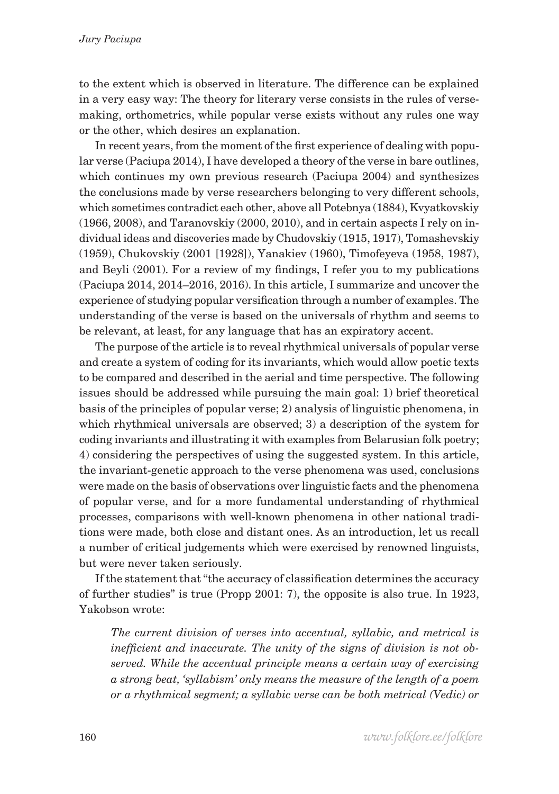to the extent which is observed in literature. The difference can be explained in a very easy way: The theory for literary verse consists in the rules of versemaking, orthometrics, while popular verse exists without any rules one way or the other, which desires an explanation.

In recent years, from the moment of the first experience of dealing with popular verse (Paciupa 2014), I have developed a theory of the verse in bare outlines, which continues my own previous research (Paciupa 2004) and synthesizes the conclusions made by verse researchers belonging to very different schools, which sometimes contradict each other, above all Potebnya (1884), Kvyatkovskiy (1966, 2008), and Taranovskiy (2000, 2010), and in certain aspects I rely on individual ideas and discoveries made by Chudovskiy (1915, 1917), Tomashevskiy (1959), Chukovskiy (2001 [1928]), Yanakiev (1960), Timofeyeva (1958, 1987), and Beyli (2001). For a review of my findings, I refer you to my publications (Paciupa 2014, 2014–2016, 2016). In this article, I summarize and uncover the experience of studying popular versification through a number of examples. The understanding of the verse is based on the universals of rhythm and seems to be relevant, at least, for any language that has an expiratory accent.

The purpose of the article is to reveal rhythmical universals of popular verse and create a system of coding for its invariants, which would allow poetic texts to be compared and described in the aerial and time perspective. The following issues should be addressed while pursuing the main goal: 1) brief theoretical basis of the principles of popular verse; 2) analysis of linguistic phenomena, in which rhythmical universals are observed; 3) a description of the system for coding invariants and illustrating it with examples from Belarusian folk poetry; 4) considering the perspectives of using the suggested system. In this article, the invariant-genetic approach to the verse phenomena was used, conclusions were made on the basis of observations over linguistic facts and the phenomena of popular verse, and for a more fundamental understanding of rhythmical processes, comparisons with well-known phenomena in other national traditions were made, both close and distant ones. As an introduction, let us recall a number of critical judgements which were exercised by renowned linguists, but were never taken seriously.

If the statement that "the accuracy of classification determines the accuracy of further studies" is true (Propp 2001: 7), the opposite is also true. In 1923, Yakobson wrote:

*The current division of verses into accentual, syllabic, and metrical is inefficient and inaccurate. The unity of the signs of division is not observed. While the accentual principle means a certain way of exercising a strong beat, 'syllabism' only means the measure of the length of a poem or a rhythmical segment; a syllabic verse can be both metrical (Vedic) or*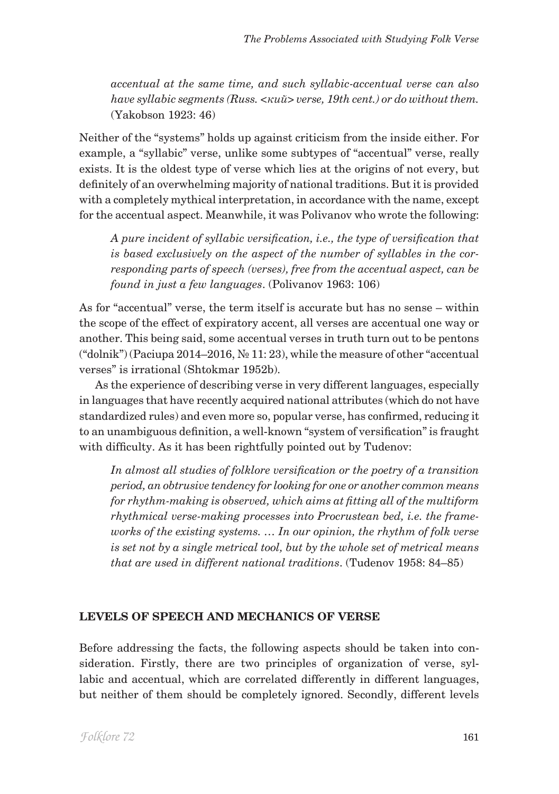*accentual at the same time, and such syllabic-accentual verse can also have syllabic segments (Russ. <кий> verse, 19th cent.) or do without them.* (Yakobson 1923: 46)

Neither of the "systems" holds up against criticism from the inside either. For example, a "syllabic" verse, unlike some subtypes of "accentual" verse, really exists. It is the oldest type of verse which lies at the origins of not every, but definitely of an overwhelming majority of national traditions. But it is provided with a completely mythical interpretation, in accordance with the name, except for the accentual aspect. Meanwhile, it was Polivanov who wrote the following:

*A pure incident of syllabic versification, i.e., the type of versification that is based exclusively on the aspect of the number of syllables in the corresponding parts of speech (verses), free from the accentual aspect, can be found in just a few languages*. (Polivanov 1963: 106)

As for "accentual" verse, the term itself is accurate but has no sense – within the scope of the effect of expiratory accent, all verses are accentual one way or another. This being said, some accentual verses in truth turn out to be pentons ("dolnik") (Paciupa 2014–2016, № 11: 23), while the measure of other "accentual verses" is irrational (Shtokmar 1952b).

As the experience of describing verse in very different languages, especially in languages that have recently acquired national attributes (which do not have standardized rules) and even more so, popular verse, has confirmed, reducing it to an unambiguous definition, a well-known "system of versification" is fraught with difficulty. As it has been rightfully pointed out by Tudenov:

*In almost all studies of folklore versification or the poetry of a transition period, an obtrusive tendency for looking for one or another common means for rhythm-making is observed, which aims at fitting all of the multiform rhythmical verse-making processes into Procrustean bed, i.e. the frameworks of the existing systems. … In our opinion, the rhythm of folk verse is set not by a single metrical tool, but by the whole set of metrical means that are used in different national traditions*. (Tudenov 1958: 84–85)

## **LEVELS OF SPEECH AND MECHANICS OF VERSE**

Before addressing the facts, the following aspects should be taken into consideration. Firstly, there are two principles of organization of verse, syllabic and accentual, which are correlated differently in different languages, but neither of them should be completely ignored. Secondly, different levels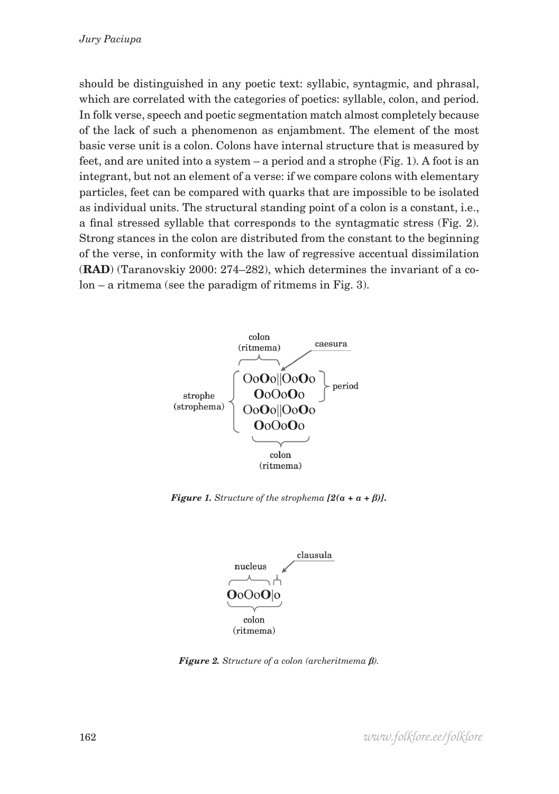should be distinguished in any poetic text: syllabic, syntagmic, and phrasal, which are correlated with the categories of poetics: syllable, colon, and period. In folk verse, speech and poetic segmentation match almost completely because of the lack of such a phenomenon as enjambment. The element of the most basic verse unit is a colon. Colons have internal structure that is measured by feet, and are united into a system – a period and a strophe (Fig. 1). A foot is an integrant, but not an element of a verse: if we compare colons with elementary particles, feet can be compared with quarks that are impossible to be isolated as individual units. The structural standing point of a colon is a constant, i.e., a final stressed syllable that corresponds to the syntagmatic stress (Fig. 2). Strong stances in the colon are distributed from the constant to the beginning of the verse, in conformity with the law of regressive accentual dissimilation (**RAD**) (Taranovskiy 2000: 274–282), which determines the invariant of a colon – a ritmema (see the paradigm of ritmems in Fig. 3).



*Figure 1. Structure of the strophema*  $[2(a + a + \beta)]$ *.* 



*Figure 2. Structure of a colon (archeritmema β).*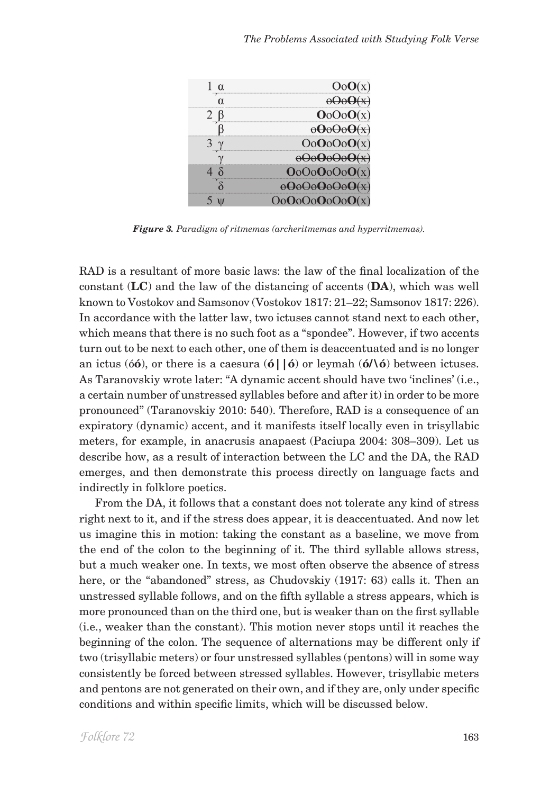| $00$ OoC                             |
|--------------------------------------|
|                                      |
| OoOoOo                               |
| ------------------------------------ |
| $000000$                             |
|                                      |
| OoOoOoOoC                            |

*Figure 3. Paradigm of ritmemas (archeritmemas and hyperritmemas).*

RAD is a resultant of more basic laws: the law of the final localization of the constant (**LC**) and the law of the distancing of accents (**DA**), which was well known to Vostokov and Samsonov (Vostokov 1817: 21–22; Samsonov 1817: 226). In accordance with the latter law, two ictuses cannot stand next to each other, which means that there is no such foot as a "spondee". However, if two accents turn out to be next to each other, one of them is deaccentuated and is no longer an ictus (ó**ó**), or there is a caesura (**ó||ó**) or leymah (**ó/\ó**) between ictuses. As Taranovskiy wrote later: "A dynamic accent should have two 'inclines' (i.e., a certain number of unstressed syllables before and after it) in order to be more pronounced" (Taranovskiy 2010: 540). Therefore, RAD is a consequence of an expiratory (dynamic) accent, and it manifests itself locally even in trisyllabic meters, for example, in anacrusis anapaest (Paciupa 2004: 308–309). Let us describe how, as a result of interaction between the LC and the DA, the RAD emerges, and then demonstrate this process directly on language facts and indirectly in folklore poetics.

From the DA, it follows that a constant does not tolerate any kind of stress right next to it, and if the stress does appear, it is deaccentuated. And now let us imagine this in motion: taking the constant as a baseline, we move from the end of the colon to the beginning of it. The third syllable allows stress, but a much weaker one. In texts, we most often observe the absence of stress here, or the "abandoned" stress, as Chudovskiy (1917: 63) calls it. Then an unstressed syllable follows, and on the fifth syllable a stress appears, which is more pronounced than on the third one, but is weaker than on the first syllable (i.e., weaker than the constant). This motion never stops until it reaches the beginning of the colon. The sequence of alternations may be different only if two (trisyllabic meters) or four unstressed syllables (pentons) will in some way consistently be forced between stressed syllables. However, trisyllabic meters and pentons are not generated on their own, and if they are, only under specific conditions and within specific limits, which will be discussed below.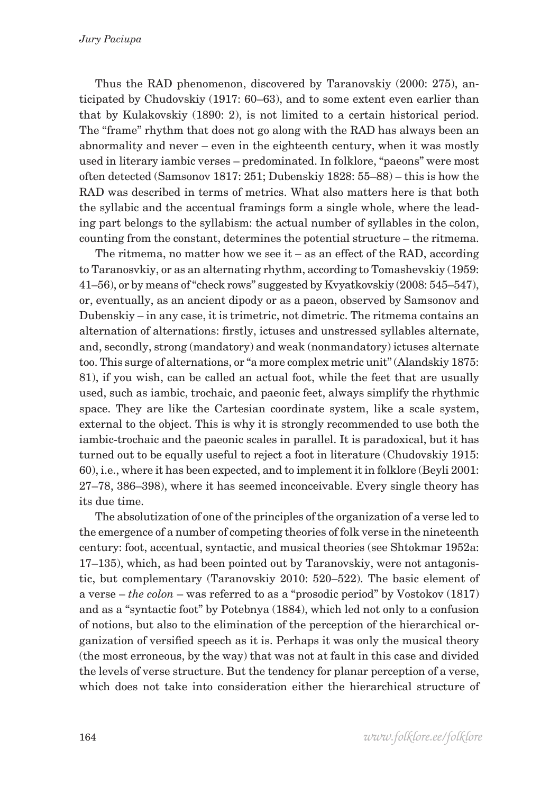Thus the RAD phenomenon, discovered by Taranovskiy (2000: 275), anticipated by Chudovskiy (1917: 60–63), and to some extent even earlier than that by Kulakovskiy (1890: 2), is not limited to a certain historical period. The "frame" rhythm that does not go along with the RAD has always been an abnormality and never – even in the eighteenth century, when it was mostly used in literary iambic verses – predominated. In folklore, "paeons" were most often detected (Samsonov 1817: 251; Dubenskiy 1828: 55–88) – this is how the RAD was described in terms of metrics. What also matters here is that both the syllabic and the accentual framings form a single whole, where the leading part belongs to the syllabism: the actual number of syllables in the colon, counting from the constant, determines the potential structure – the ritmema.

The ritmema, no matter how we see it – as an effect of the RAD, according to Taranosvkiy, or as an alternating rhythm, according to Tomashevskiy (1959: 41–56), or by means of "check rows" suggested by Kvyatkovskiy (2008: 545–547), or, eventually, as an ancient dipody or as a paeon, observed by Samsonov and Dubenskiy – in any case, it is trimetric, not dimetric. The ritmema contains an alternation of alternations: firstly, ictuses and unstressed syllables alternate, and, secondly, strong (mandatory) and weak (nonmandatory) ictuses alternate too. This surge of alternations, or "a more complex metric unit" (Alandskiy 1875: 81), if you wish, can be called an actual foot, while the feet that are usually used, such as iambic, trochaic, and paeonic feet, always simplify the rhythmic space. They are like the Cartesian coordinate system, like a scale system, external to the object. This is why it is strongly recommended to use both the iambic-trochaic and the paeonic scales in parallel. It is paradoxical, but it has turned out to be equally useful to reject a foot in literature (Chudovskiy 1915: 60), i.e., where it has been expected, and to implement it in folklore (Beyli 2001: 27–78, 386–398), where it has seemed inconceivable. Every single theory has its due time.

The absolutization of one of the principles of the organization of a verse led to the emergence of a number of competing theories of folk verse in the nineteenth century: foot, accentual, syntactic, and musical theories (see Shtokmar 1952a: 17–135), which, as had been pointed out by Taranovskiy, were not antagonistic, but complementary (Taranovskiy 2010: 520–522). The basic element of a verse – *the colon* – was referred to as a "prosodic period" by Vostokov (1817) and as a "syntactic foot" by Potebnya (1884), which led not only to a confusion of notions, but also to the elimination of the perception of the hierarchical organization of versified speech as it is. Perhaps it was only the musical theory (the most erroneous, by the way) that was not at fault in this case and divided the levels of verse structure. But the tendency for planar perception of a verse, which does not take into consideration either the hierarchical structure of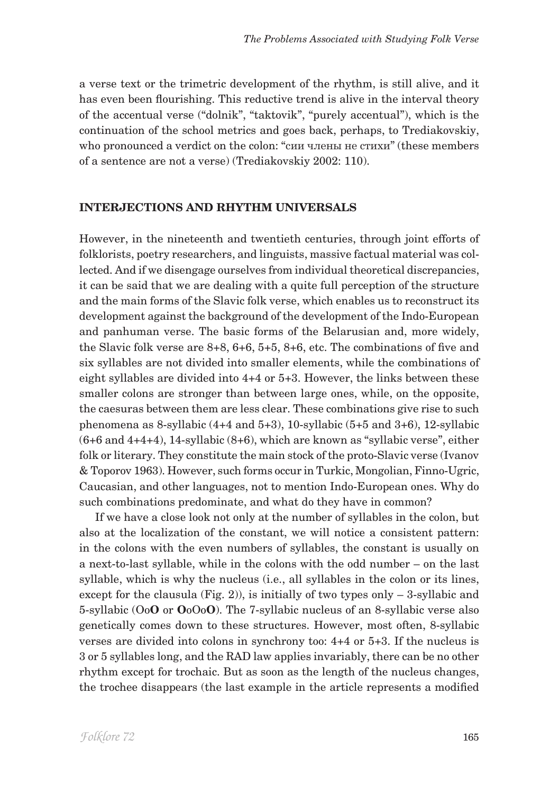a verse text or the trimetric development of the rhythm, is still alive, and it has even been flourishing. This reductive trend is alive in the interval theory of the accentual verse ("dolnik", "taktovik", "purely accentual"), which is the continuation of the school metrics and goes back, perhaps, to Trediakovskiy, who pronounced a verdict on the colon: "сии члены не стихи" (these members of a sentence are not a verse) (Trediakovskiy 2002: 110).

#### **INTERJECTIONS AND RHYTHM UNIVERSALS**

However, in the nineteenth and twentieth centuries, through joint efforts of folklorists, poetry researchers, and linguists, massive factual material was collected. And if we disengage ourselves from individual theoretical discrepancies, it can be said that we are dealing with a quite full perception of the structure and the main forms of the Slavic folk verse, which enables us to reconstruct its development against the background of the development of the Indo-European and panhuman verse. The basic forms of the Belarusian and, more widely, the Slavic folk verse are 8+8, 6+6, 5+5, 8+6, etc. The combinations of five and six syllables are not divided into smaller elements, while the combinations of eight syllables are divided into 4+4 or 5+3. However, the links between these smaller colons are stronger than between large ones, while, on the opposite, the caesuras between them are less clear. These combinations give rise to such phenomena as 8-syllabic (4+4 and 5+3), 10-syllabic (5+5 and 3+6), 12-syllabic (6+6 and 4+4+4), 14-syllabic (8+6), which are known as "syllabic verse", either folk or literary. They constitute the main stock of the proto-Slavic verse (Ivanov & Toporov 1963). However, such forms occur in Turkic, Mongolian, Finno-Ugric, Caucasian, and other languages, not to mention Indo-European ones. Why do such combinations predominate, and what do they have in common?

If we have a close look not only at the number of syllables in the colon, but also at the localization of the constant, we will notice a consistent pattern: in the colons with the even numbers of syllables, the constant is usually on a next-to-last syllable, while in the colons with the odd number – on the last syllable, which is why the nucleus (i.e., all syllables in the colon or its lines, except for the clausula (Fig. 2)), is initially of two types only  $-3$ -syllabic and 5-syllabic (Oo**O** or **O**oOo**O**). The 7-syllabic nucleus of an 8-syllabic verse also genetically comes down to these structures. However, most often, 8-syllabic verses are divided into colons in synchrony too: 4+4 or 5+3. If the nucleus is 3 or 5 syllables long, and the RAD law applies invariably, there can be no other rhythm except for trochaic. But as soon as the length of the nucleus changes, the trochee disappears (the last example in the article represents a modified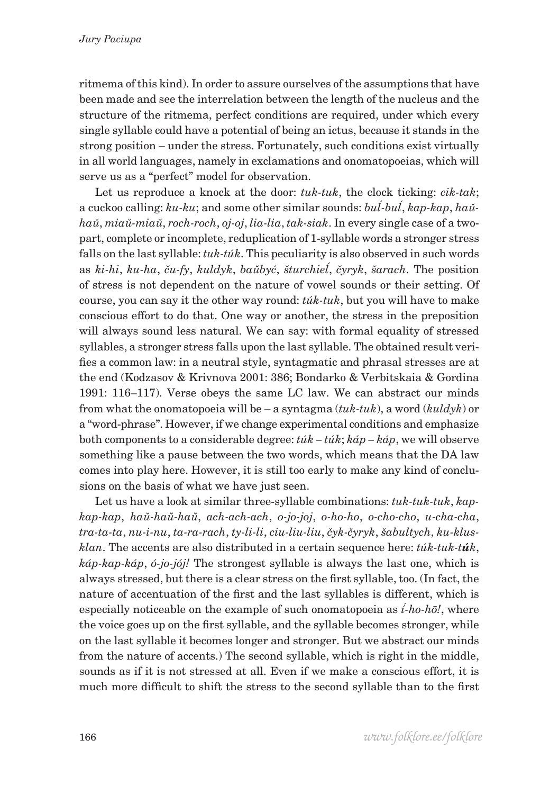ritmema of this kind). In order to assure ourselves of the assumptions that have been made and see the interrelation between the length of the nucleus and the structure of the ritmema, perfect conditions are required, under which every single syllable could have a potential of being an ictus, because it stands in the strong position – under the stress. Fortunately, such conditions exist virtually in all world languages, namely in exclamations and onomatopoeias, which will serve us as a "perfect" model for observation.

Let us reproduce a knock at the door: *tuk-tuk*, the clock ticking: *cik-tak*; a cuckoo calling: *ku-ku*; and some other similar sounds: *buĺ-buĺ*, *kap-kap*, *haŭhaŭ*, *miaŭ-miaŭ*, *roch-roch*, *oj-oj*, *lia-lia*, *tak-siak*. In every single case of a twopart, complete or incomplete, reduplication of 1-syllable words a stronger stress falls on the last syllable: *tuk-túk*. This peculiarity is also observed in such words as *ki-hi*, *ku-ha*, *ču-fy*, *kuldyk*, *baŭbyć*, *šturchieĺ*, *čyryk*, *šarach*. The position of stress is not dependent on the nature of vowel sounds or their setting. Of course, you can say it the other way round: *túk-tuk*, but you will have to make conscious effort to do that. One way or another, the stress in the preposition will always sound less natural. We can say: with formal equality of stressed syllables, a stronger stress falls upon the last syllable. The obtained result verifies a common law: in a neutral style, syntagmatic and phrasal stresses are at the end (Kodzasov & Krivnova 2001: 386; Bondarko & Verbitskaia & Gordina 1991: 116–117). Verse obeys the same LC law. We can abstract our minds from what the onomatopoeia will be – a syntagma (*tuk-tuk*), a word (*kuldyk*) or a "word-phrase". However, if we change experimental conditions and emphasize both components to a considerable degree: *túk – túk*; *káp – káp*, we will observe something like a pause between the two words, which means that the DA law comes into play here. However, it is still too early to make any kind of conclusions on the basis of what we have just seen.

Let us have a look at similar three-syllable combinations: *tuk-tuk-tuk*, *kapkap-kap*, *haŭ-haŭ-haŭ*, *ach-ach-ach*, *o-jo-joj*, *o-ho-ho*, *o-cho-cho*, *u-cha-cha*, *tra-ta-ta*, *nu-i-nu*, *ta-ra-rach*, *ty-li-li*, *ciu-liu-liu*, *čyk-čyryk*, *šabultych*, *ku-klusklan*. The accents are also distributed in a certain sequence here: *túk-tuk-túk*, *káp-kap-káp*, *ó-jo-jój!* The strongest syllable is always the last one, which is always stressed, but there is a clear stress on the first syllable, too. (In fact, the nature of accentuation of the first and the last syllables is different, which is especially noticeable on the example of such onomatopoeia as *í́-ho-hō!*, where the voice goes up on the first syllable, and the syllable becomes stronger, while on the last syllable it becomes longer and stronger. But we abstract our minds from the nature of accents.) The second syllable, which is right in the middle, sounds as if it is not stressed at all. Even if we make a conscious effort, it is much more difficult to shift the stress to the second syllable than to the first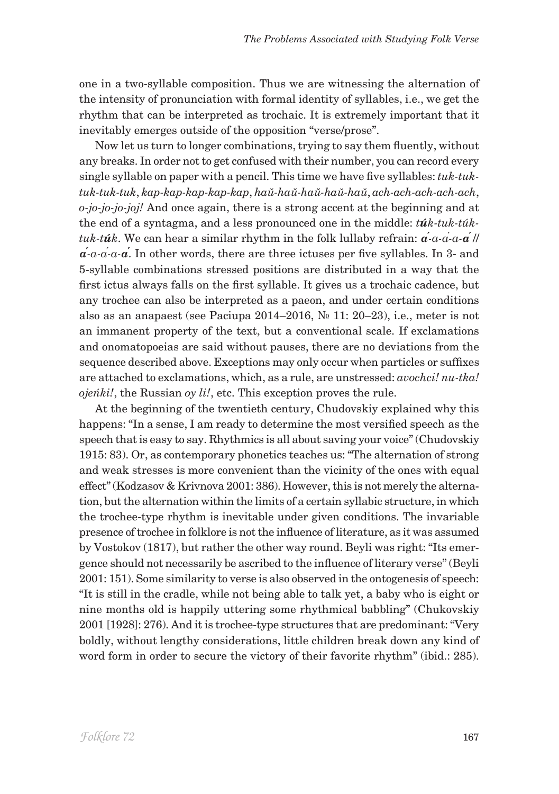one in a two-syllable composition. Thus we are witnessing the alternation of the intensity of pronunciation with formal identity of syllables, i.e., we get the rhythm that can be interpreted as trochaic. It is extremely important that it inevitably emerges outside of the opposition "verse/prose".

Now let us turn to longer combinations, trying to say them fluently, without any breaks. In order not to get confused with their number, you can record every single syllable on paper with a pencil. This time we have five syllables: *tuk-tuktuk-tuk-tuk*, *kap-kap-kap-kap-kap*, *haŭ-haŭ-haŭ-haŭ-haŭ*, *ach-ach-ach-ach-ach*, *o-jo-jo-jo-joj!* And once again, there is a strong accent at the beginning and at the end of a syntagma, and a less pronounced one in the middle: *túk-tuk-túktuk-túk*. We can hear a similar rhythm in the folk lullaby refrain: *а́-а-а́-а-а́*// *а́-а-а́-а-а́*. In other words, there are three ictuses per five syllables. In 3- and 5-syllable combinations stressed positions are distributed in a way that the first ictus always falls on the first syllable. It gives us a trochaic cadence, but any trochee can also be interpreted as a paeon, and under certain conditions also as an anapaest (see Paciupa 2014–2016, № 11: 20–23), i.e., meter is not an immanent property of the text, but a conventional scale. If exclamations and onomatopoeias are said without pauses, there are no deviations from the sequence described above. Exceptions may only occur when particles or suffixes are attached to exclamations, which, as a rule, are unstressed: *avochci! nu-tka! ojeńki!*, the Russian *oy li!*, etc. This exception proves the rule.

At the beginning of the twentieth century, Chudovskiy explained why this happens: "In a sense, I am ready to determine the most versified speech as the speech that is easy to say. Rhythmics is all about saving your voice" (Chudovskiy 1915: 83). Or, as contemporary phonetics teaches us: "The alternation of strong and weak stresses is more convenient than the vicinity of the ones with equal effect" (Kodzasov & Krivnova 2001: 386). However, this is not merely the alternation, but the alternation within the limits of a certain syllabic structure, in which the trochee-type rhythm is inevitable under given conditions. The invariable presence of trochee in folklore is not the influence of literature, as it was assumed by Vostokov (1817), but rather the other way round. Beyli was right: "Its emergence should not necessarily be ascribed to the influence of literary verse" (Beyli 2001: 151). Some similarity to verse is also observed in the ontogenesis of speech: "It is still in the cradle, while not being able to talk yet, a baby who is eight or nine months old is happily uttering some rhythmical babbling" (Chukovskiy 2001 [1928]: 276). And it is trochee-type structures that are predominant: "Very boldly, without lengthy considerations, little children break down any kind of word form in order to secure the victory of their favorite rhythm" (ibid.: 285).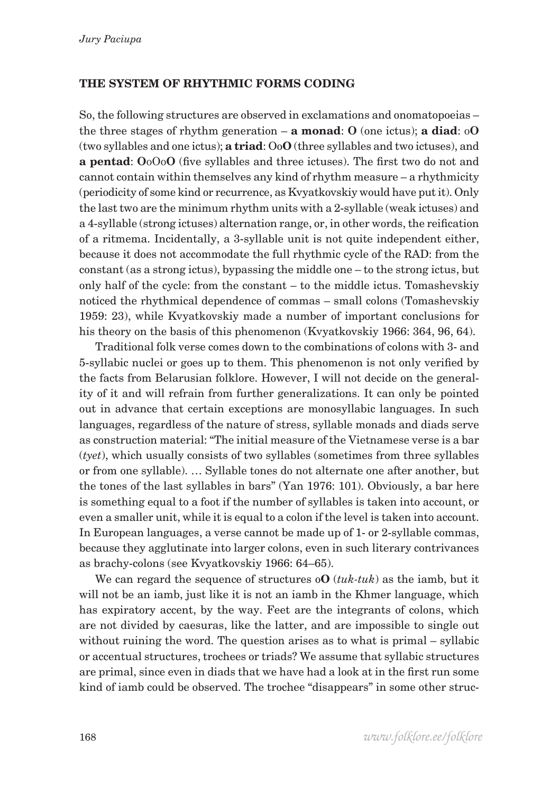## **THE SYSTEM OF RHYTHMIC FORMS CODING**

So, the following structures are observed in exclamations and onomatopoeias – the three stages of rhythm generation – **a monad**: **O** (one ictus); **a diad**: o**O** (two syllables and one ictus); **a triad**: Oo**O** (three syllables and two ictuses), and **a pentad**: **O**oOo**O** (five syllables and three ictuses). The first two do not and cannot contain within themselves any kind of rhythm measure – a rhythmicity (periodicity of some kind or recurrence, as Kvyatkovskiy would have put it). Only the last two are the minimum rhythm units with a 2-syllable (weak ictuses) and a 4-syllable (strong ictuses) alternation range, or, in other words, the reification of a ritmema. Incidentally, a 3-syllable unit is not quite independent either, because it does not accommodate the full rhythmic cycle of the RAD: from the constant (as a strong ictus), bypassing the middle one – to the strong ictus, but only half of the cycle: from the constant – to the middle ictus. Tomashevskiy noticed the rhythmical dependence of commas – small colons (Tomashevskiy 1959: 23), while Kvyatkovskiy made a number of important conclusions for his theory on the basis of this phenomenon (Kvyatkovskiy 1966: 364, 96, 64).

Traditional folk verse comes down to the combinations of colons with 3- and 5-syllabic nuclei or goes up to them. This phenomenon is not only verified by the facts from Belarusian folklore. However, I will not decide on the generality of it and will refrain from further generalizations. It can only be pointed out in advance that certain exceptions are monosyllabic languages. In such languages, regardless of the nature of stress, syllable monads and diads serve as construction material: "The initial measure of the Vietnamese verse is a bar (*tyet*), which usually consists of two syllables (sometimes from three syllables or from one syllable). … Syllable tones do not alternate one after another, but the tones of the last syllables in bars" (Yan 1976: 101). Obviously, a bar here is something equal to a foot if the number of syllables is taken into account, or even a smaller unit, while it is equal to a colon if the level is taken into account. In European languages, a verse cannot be made up of 1- or 2-syllable commas, because they agglutinate into larger colons, even in such literary contrivances as brachy-colons (see Kvyatkovskiy 1966: 64–65).

We can regard the sequence of structures o**O** (*tuk-tuk*) as the iamb, but it will not be an iamb, just like it is not an iamb in the Khmer language, which has expiratory accent, by the way. Feet are the integrants of colons, which are not divided by caesuras, like the latter, and are impossible to single out without ruining the word. The question arises as to what is primal – syllabic or accentual structures, trochees or triads? We assume that syllabic structures are primal, since even in diads that we have had a look at in the first run some kind of iamb could be observed. The trochee "disappears" in some other struc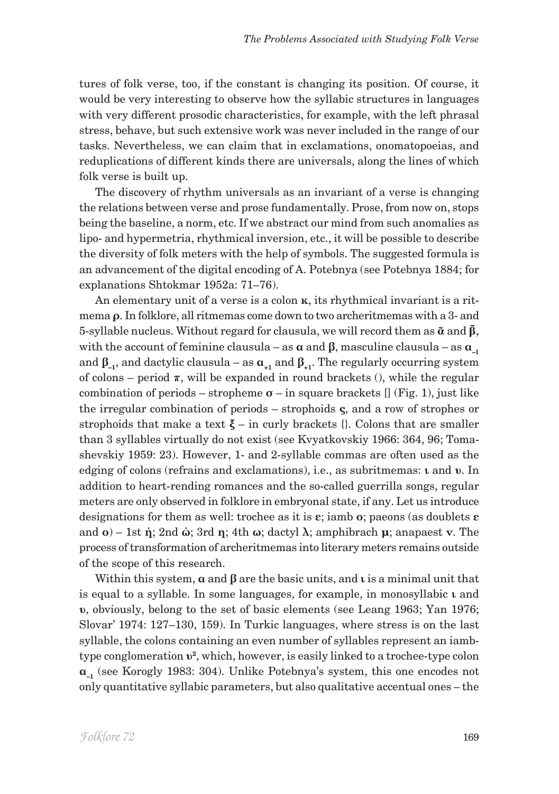tures of folk verse, too, if the constant is changing its position. Of course, it would be very interesting to observe how the syllabic structures in languages with very different prosodic characteristics, for example, with the left phrasal stress, behave, but such extensive work was never included in the range of our tasks. Nevertheless, we can claim that in exclamations, onomatopoeias, and reduplications of different kinds there are universals, along the lines of which folk verse is built up.

The discovery of rhythm universals as an invariant of a verse is changing the relations between verse and prose fundamentally. Prose, from now on, stops being the baseline, a norm, etc. If we abstract our mind from such anomalies as lipo- and hypermetria, rhythmical inversion, etc., it will be possible to describe the diversity of folk meters with the help of symbols. The suggested formula is an advancement of the digital encoding of A. Potebnya (see Potebnya 1884; for explanations Shtokmar 1952a: 71–76).

An elementary unit of a verse is a colon **κ**, its rhythmical invariant is a ritmema **ρ**. In folklore, all ritmemas come down to two archeritmemas with a 3- and 5-syllable nucleus. Without regard for clausula, we will record them as **ᾶ** and **β̃**, with the account of feminine clausula – as  $\alpha$  and  $\beta$ , masculine clausula – as  $\alpha$ <sub>-1</sub> and  $\beta_{-1}$ , and dactylic clausula – as  $\alpha_{+1}$  and  $\beta_{+1}$ . The regularly occurring system of colons – period  $\pi$ , will be expanded in round brackets (), while the regular combination of periods – stropheme  $\sigma$  – in square brackets  $\iint$  (Fig. 1), just like the irregular combination of periods – strophoids **ς**, and a row of strophes or strophoids that make a text  $\xi$  – in curly brackets  $\{\}$ . Colons that are smaller than 3 syllables virtually do not exist (see Kvyatkovskiy 1966: 364, 96; Tomashevskiy 1959: 23). However, 1- and 2-syllable commas are often used as the edging of colons (refrains and exclamations), i.e., as subritmemas: **ι** and **υ**. In addition to heart-rending romances and the so-called guerrilla songs, regular meters are only observed in folklore in embryonal state, if any. Let us introduce designations for them as well: trochee as it is **ε**; iamb **ο**; paeons (as doublets **ε** and **ο**) – 1st **ή**; 2nd **ώ**; 3rd **η**; 4th **ω**; dactyl **λ**; amphibrach **μ**; anapaest **ν**. The process of transformation of archeritmemas into literary meters remains outside of the scope of this research.

Within this system, **α** and **β** are the basic units, and **ι** is a minimal unit that is equal to a syllable. In some languages, for example, in monosyllabic **ι** and **υ**, obviously, belong to the set of basic elements (see Leang 1963; Yan 1976; Slovar' 1974: 127–130, 159). In Turkic languages, where stress is on the last syllable, the colons containing an even number of syllables represent an iambtype conglomeration **υ2**, which, however, is easily linked to a trochee-type colon **α–1** (see Korogly 1983: 304). Unlike Potebnya's system, this one encodes not only quantitative syllabic parameters, but also qualitative accentual ones – the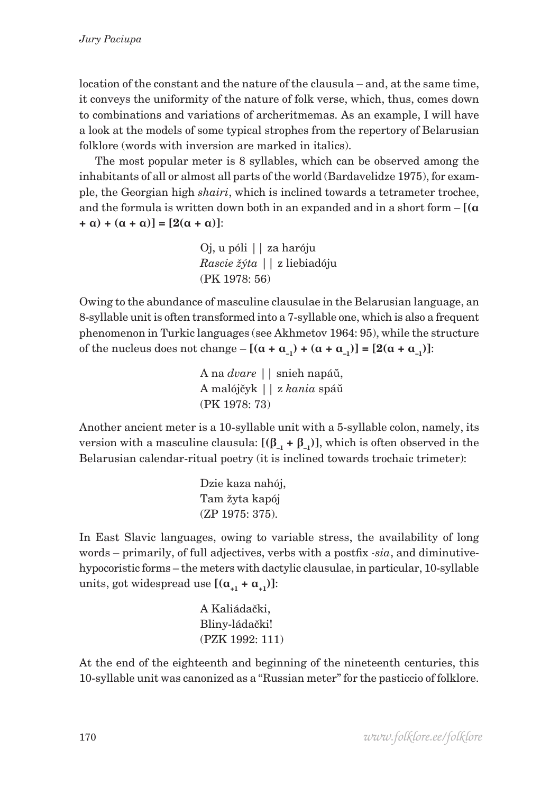location of the constant and the nature of the clausula – and, at the same time, it conveys the uniformity of the nature of folk verse, which, thus, comes down to combinations and variations of archeritmemas. As an example, I will have a look at the models of some typical strophes from the repertory of Belarusian folklore (words with inversion are marked in italics).

The most popular meter is 8 syllables, which can be observed among the inhabitants of all or almost all parts of the world (Bardavelidze 1975), for example, the Georgian high *shairi*, which is inclined towards a tetrameter trochee, and the formula is written down both in an expanded and in a short form – **[(α +**  $\alpha$ ) +  $(\alpha + \alpha)$ ] = [2( $\alpha + \alpha$ )]:

> Oj, u póli || za haróju  *Rascie žýta* || z liebiadóju (PK 1978: 56)

Owing to the abundance of masculine clausulae in the Belarusian language, an 8-syllable unit is often transformed into a 7-syllable one, which is also a frequent phenomenon in Turkic languages (see Akhmetov 1964: 95), while the structure of the nucleus does not change –  $[(α + α_{-1}) + (α + α_{-1})] = [2(α + α_{-1})]$ :

> A na *dvare* || snieh napáŭ, A malójčyk || z *kania* spáŭ (PK 1978: 73)

Another ancient meter is a 10-syllable unit with a 5-syllable colon, namely, its version with a masculine clausula:  $[(\beta_{-1} + \beta_{-1})]$ , which is often observed in the Belarusian calendar-ritual poetry (it is inclined towards trochaic trimeter):

> Dzie kaza nahój, Tam žyta kapój (ZP 1975: 375).

In East Slavic languages, owing to variable stress, the availability of long words – primarily, of full adjectives, verbs with a postfix *-sia*, and diminutivehypocoristic forms – the meters with dactylic clausulae, in particular, 10-syllable units, got widespread use  $[(\alpha_{1} + \alpha_{1})]$ :

> A Kaliádački, Bliny-ládački! (PZK 1992: 111)

At the end of the eighteenth and beginning of the nineteenth centuries, this 10-syllable unit was canonized as a "Russian meter" for the pasticcio of folklore.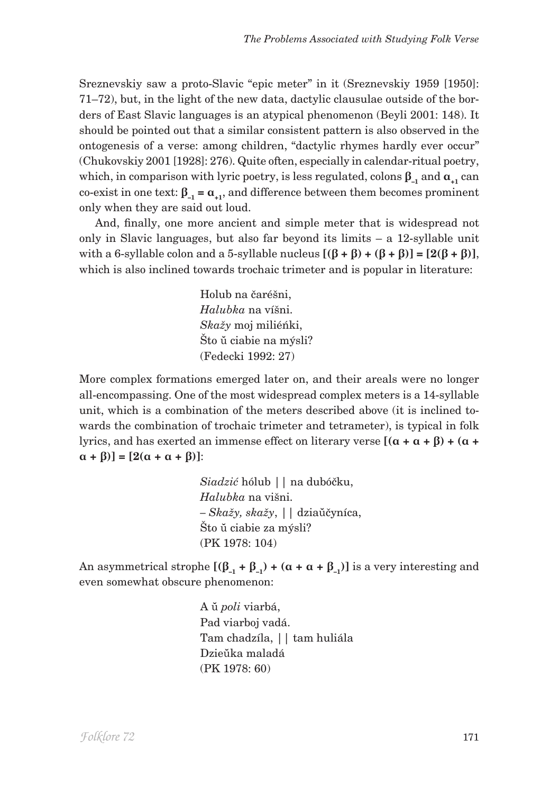Sreznevskiy saw a proto-Slavic "epic meter" in it (Sreznevskiy 1959 [1950]: 71–72), but, in the light of the new data, dactylic clausulae outside of the borders of East Slavic languages is an atypical phenomenon (Beyli 2001: 148). It should be pointed out that a similar consistent pattern is also observed in the ontogenesis of a verse: among children, "dactylic rhymes hardly ever occur" (Chukovskiy 2001 [1928]: 276). Quite often, especially in calendar-ritual poetry, which, in comparison with lyric poetry, is less regulated, colons  $\beta_{-1}$  and  $\alpha_{+1}$  can co-exist in one text:  $\beta_{-1} = \alpha_{+1}$ , and difference between them becomes prominent only when they are said out loud.

And, finally, one more ancient and simple meter that is widespread not only in Slavic languages, but also far beyond its limits – a 12-syllable unit with a 6-syllable colon and a 5-syllable nucleus  $[(\beta + \beta) + (\beta + \beta)] = [2(\beta + \beta)],$ which is also inclined towards trochaic trimeter and is popular in literature:

> Holub na čaréšni,  *Halubka* na víšni. *Skažy* moj miliéńki, Što ŭ ciabie na mýsli? (Fedecki 1992: 27)

More complex formations emerged later on, and their areals were no longer all-encompassing. One of the most widespread complex meters is a 14-syllable unit, which is a combination of the meters described above (it is inclined towards the combination of trochaic trimeter and tetrameter), is typical in folk lyrics, and has exerted an immense effect on literary verse **[(α + α + β) + (α +**   $[2(\alpha + \alpha + \beta)] = [2(\alpha + \alpha + \beta)]$ :

> *Siadzić* hólub || na dubóčku,  *Halubka* na višni. *– Skažy, skažy*, || dziaŭčyníca, Što ŭ ciabie za mýsli? (PK 1978: 104)

An asymmetrical strophe  $[(\beta_{-1} + \beta_{-1}) + (\alpha + \alpha + \beta_{-1})]$  is a very interesting and even somewhat obscure phenomenon:

> A ŭ *poli* viarbá, Pad viarboj vadá. Tam chadzíla, || tam huliála Dzieŭka maladá (PK 1978: 60)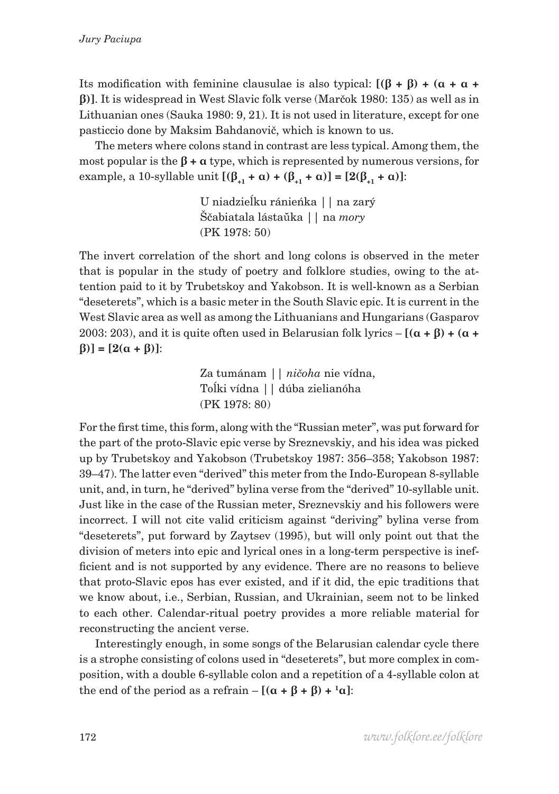Its modification with feminine clausulae is also typical: **[(β + β) + (α + α + β)]**. It is widespread in West Slavic folk verse (Marčok 1980: 135) as well as in Lithuanian ones (Sauka 1980: 9, 21). It is not used in literature, except for one pasticcio done by Maksim Bahdanovič, which is known to us.

The meters where colons stand in contrast are less typical. Among them, the most popular is the  $\beta$  +  $\alpha$  type, which is represented by numerous versions, for example, a 10-syllable unit  $[(β_{+1} + α) + (β_{+1} + α)] = [2(β_{+1} + α)]$ :

> U niadzieĺku ránieńka || na zarý Ščabiatala lástaŭka || na *mory* (PK 1978: 50)

The invert correlation of the short and long colons is observed in the meter that is popular in the study of poetry and folklore studies, owing to the attention paid to it by Trubetskoy and Yakobson. It is well-known as a Serbian "deseterets", which is a basic meter in the South Slavic epic. It is current in the West Slavic area as well as among the Lithuanians and Hungarians (Gasparov 2003: 203), and it is quite often used in Belarusian folk lyrics  $-[(\alpha + \beta) + (\alpha + \beta)]$ **β)] = [2(α + β)]**:

> Za tumánam || *ničoha* nie vídna, Toĺki vídna || dúba zielianóha (PK 1978: 80)

For the first time, this form, along with the "Russian meter", was put forward for the part of the proto-Slavic epic verse by Sreznevskiy, and his idea was picked up by Trubetskoy and Yakobson (Trubetskoy 1987: 356–358; Yakobson 1987: 39–47). The latter even "derived" this meter from the Indo-European 8-syllable unit, and, in turn, he "derived" bylina verse from the "derived" 10-syllable unit. Just like in the case of the Russian meter, Sreznevskiy and his followers were incorrect. I will not cite valid criticism against "deriving" bylina verse from "deseterets", put forward by Zaytsev (1995), but will only point out that the division of meters into epic and lyrical ones in a long-term perspective is inefficient and is not supported by any evidence. There are no reasons to believe that proto-Slavic epos has ever existed, and if it did, the epic traditions that we know about, i.e., Serbian, Russian, and Ukrainian, seem not to be linked to each other. Calendar-ritual poetry provides a more reliable material for reconstructing the ancient verse.

Interestingly enough, in some songs of the Belarusian calendar cycle there is a strophe consisting of colons used in "deseterets", but more complex in composition, with a double 6-syllable colon and a repetition of a 4-syllable colon at the end of the period as a refrain  $-[(\alpha + \beta + \beta) + \alpha]$ :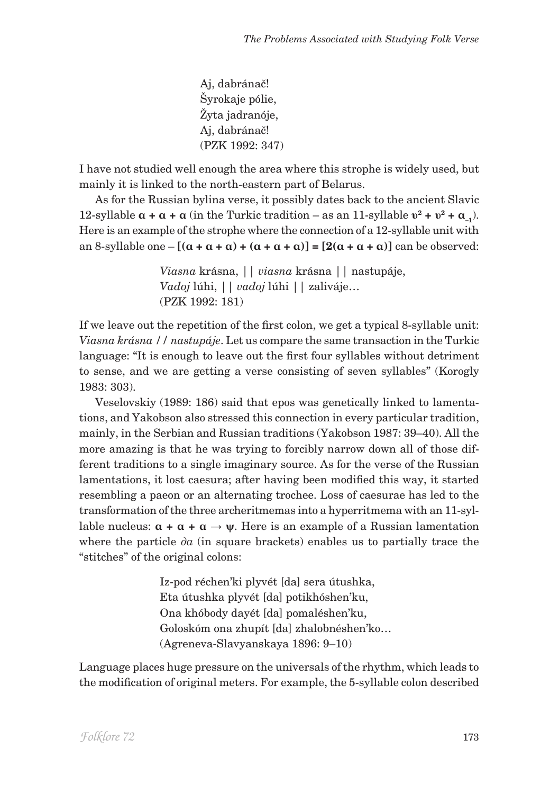Aj, dabránač! Šyrokaje pólie, Žyta jadranóje, Aj, dabránač! (PZK 1992: 347)

I have not studied well enough the area where this strophe is widely used, but mainly it is linked to the north-eastern part of Belarus.

As for the Russian bylina verse, it possibly dates back to the ancient Slavic 12-syllable  $\alpha + \alpha + \alpha$  (in the Turkic tradition – as an 11-syllable  $v^2 + v^2 + \alpha$ <sub>-1</sub>). Here is an example of the strophe where the connection of a 12-syllable unit with  $[\alpha + \alpha + \alpha] + [\alpha + \alpha + \alpha] + [\alpha + \alpha + \alpha] = [2(\alpha + \alpha + \alpha)]$  can be observed:

> *Viasna* krásna, || *viasna* krásna || nastupáje,  *Vadoj* lúhi, || *vadoj* lúhi || zaliváje… (PZK 1992: 181)

If we leave out the repetition of the first colon, we get a typical 8-syllable unit: *Viasna krásna // nastupáje*. Let us compare the same transaction in the Turkic language: "It is enough to leave out the first four syllables without detriment to sense, and we are getting a verse consisting of seven syllables" (Korogly 1983: 303).

Veselovskiy (1989: 186) said that epos was genetically linked to lamentations, and Yakobson also stressed this connection in every particular tradition, mainly, in the Serbian and Russian traditions (Yakobson 1987: 39–40). All the more amazing is that he was trying to forcibly narrow down all of those different traditions to a single imaginary source. As for the verse of the Russian lamentations, it lost caesura; after having been modified this way, it started resembling a paeon or an alternating trochee. Loss of caesurae has led to the transformation of the three archeritmemas into a hyperritmema with an 11-syllable nucleus:  $\alpha + \alpha + \alpha \rightarrow \psi$ . Here is an example of a Russian lamentation where the particle  $\partial a$  (in square brackets) enables us to partially trace the "stitches" of the original colons:

> Iz-pod réchen'ki plyvét [da] sera útushka, Eta útushka plyvét [da] potikhóshen'ku, Ona khóbody dayét [da] pomaléshen'ku, Goloskóm ona zhupít [da] zhalobnéshen'ko… (Agreneva-Slavyanskaya 1896: 9–10)

Language places huge pressure on the universals of the rhythm, which leads to the modification of original meters. For example, the 5-syllable colon described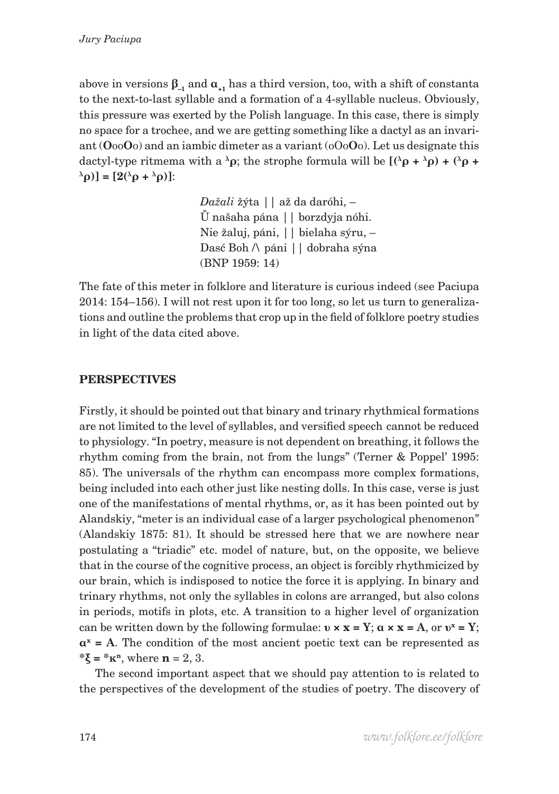above in versions  $\beta_{-1}$  and  $\alpha_{+1}$  has a third version, too, with a shift of constanta to the next-to-last syllable and a formation of a 4-syllable nucleus. Obviously, this pressure was exerted by the Polish language. In this case, there is simply no space for a trochee, and we are getting something like a dactyl as an invariant (**О**оо**О**о) and an iambic dimeter as a variant (оОо**О**о). Let us designate this dactyl-type ritmema with a  $\lambda \rho$ ; the strophe formula will be  $[(\lambda \rho + \lambda \rho) + (\lambda \rho + \lambda \rho)]$  $[\lambda$ <sub>ρ</sub>**)**] = [2( $\lambda$ ρ +  $\lambda$ ρ)]:

> *Dažali* žýta || až da daróhi, – Ŭ našaha pána || borzdyja nóhi. Nie žaluj, páni, || bielaha sýru, – Dasć Boh /\ páni || dobraha sýna (BNP 1959: 14)

The fate of this meter in folklore and literature is curious indeed (see Paciupa 2014: 154–156). I will not rest upon it for too long, so let us turn to generalizations and outline the problems that crop up in the field of folklore poetry studies in light of the data cited above.

## **PERSPECTIVES**

Firstly, it should be pointed out that binary and trinary rhythmical formations are not limited to the level of syllables, and versified speech cannot be reduced to physiology. "In poetry, measure is not dependent on breathing, it follows the rhythm coming from the brain, not from the lungs" (Terner & Poppel' 1995: 85). The universals of the rhythm can encompass more complex formations, being included into each other just like nesting dolls. In this case, verse is just one of the manifestations of mental rhythms, or, as it has been pointed out by Alandskiy, "meter is an individual case of a larger psychological phenomenon" (Alandskiy 1875: 81). It should be stressed here that we are nowhere near postulating a "triadic" etc. model of nature, but, on the opposite, we believe that in the course of the cognitive process, an object is forcibly rhythmicized by our brain, which is indisposed to notice the force it is applying. In binary and trinary rhythms, not only the syllables in colons are arranged, but also colons in periods, motifs in plots, etc. A transition to a higher level of organization can be written down by the following formulae:  $v \times x = Y$ ;  $\alpha \times x = A$ , or  $v^x = Y$ ;  $\mathbf{a}^{\mathbf{x}} = \mathbf{A}$ . The condition of the most ancient poetic text can be represented as **\*ξ = \*κn**, where **n** = 2, 3.

The second important aspect that we should pay attention to is related to the perspectives of the development of the studies of poetry. The discovery of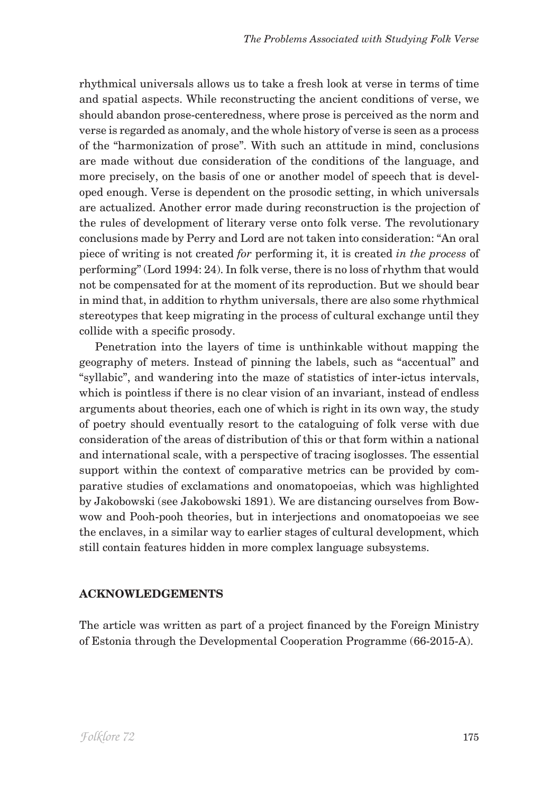rhythmical universals allows us to take a fresh look at verse in terms of time and spatial aspects. While reconstructing the ancient conditions of verse, we should abandon prose-centeredness, where prose is perceived as the norm and verse is regarded as anomaly, and the whole history of verse is seen as a process of the "harmonization of prose". With such an attitude in mind, conclusions are made without due consideration of the conditions of the language, and more precisely, on the basis of one or another model of speech that is developed enough. Verse is dependent on the prosodic setting, in which universals are actualized. Another error made during reconstruction is the projection of the rules of development of literary verse onto folk verse. The revolutionary conclusions made by Perry and Lord are not taken into consideration: "An oral piece of writing is not created *for* performing it, it is created *in the process* of performing" (Lord 1994: 24). In folk verse, there is no loss of rhythm that would not be compensated for at the moment of its reproduction. But we should bear in mind that, in addition to rhythm universals, there are also some rhythmical stereotypes that keep migrating in the process of cultural exchange until they collide with a specific prosody.

Penetration into the layers of time is unthinkable without mapping the geography of meters. Instead of pinning the labels, such as "accentual" and "syllabic", and wandering into the maze of statistics of inter-ictus intervals, which is pointless if there is no clear vision of an invariant, instead of endless arguments about theories, each one of which is right in its own way, the study of poetry should eventually resort to the cataloguing of folk verse with due consideration of the areas of distribution of this or that form within a national and international scale, with a perspective of tracing isoglosses. The essential support within the context of comparative metrics can be provided by comparative studies of exclamations and onomatopoeias, which was highlighted by Jakobowski (see Jakobowski 1891). We are distancing ourselves from Bowwow and Pooh-pooh theories, but in interjections and onomatopoeias we see the enclaves, in a similar way to earlier stages of cultural development, which still contain features hidden in more complex language subsystems.

## **ACKNOWLEDGEMENTS**

The article was written as part of a project financed by the Foreign Ministry of Estonia through the Developmental Cooperation Programme (66-2015-A).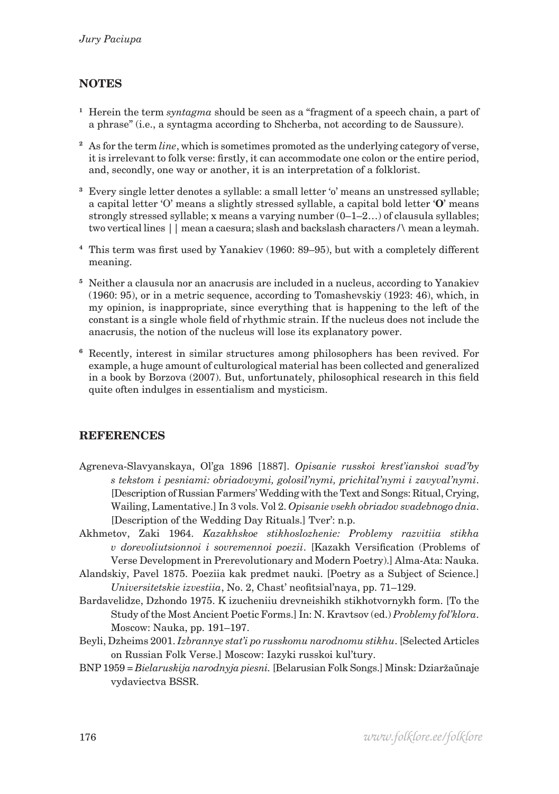# **Notes**

- **<sup>1</sup>** Herein the term *syntagma* should be seen as a "fragment of a speech chain, a part of a phrase" (i.e., a syntagma according to Shcherba, not according to de Saussure).
- **<sup>2</sup>** As for the term *line*, which is sometimes promoted as the underlying category of verse, it is irrelevant to folk verse: firstly, it can accommodate one colon or the entire period, and, secondly, one way or another, it is an interpretation of a folklorist.
- **<sup>3</sup>** Every single letter denotes a syllable: a small letter 'o' means an unstressed syllable; a capital letter 'О' means a slightly stressed syllable, a capital bold letter '**O**' means strongly stressed syllable; x means a varying number (0–1–2…) of clausula syllables; two vertical lines || mean a caesura; slash and backslash characters /\ mean a leymah.
- **<sup>4</sup>** This term was first used by Yanakiev (1960: 89–95), but with a completely different meaning.
- **<sup>5</sup>** Neither a clausula nor an anacrusis are included in a nucleus, according to Yanakiev (1960: 95), or in a metric sequence, according to Tomashevskiy (1923: 46), which, in my opinion, is inappropriate, since everything that is happening to the left of the constant is a single whole field of rhythmic strain. If the nucleus does not include the anacrusis, the notion of the nucleus will lose its explanatory power.
- **<sup>6</sup>** Recently, interest in similar structures among philosophers has been revived. For example, a huge amount of culturological material has been collected and generalized in a book by Borzova (2007). But, unfortunately, philosophical research in this field quite often indulges in essentialism and mysticism.

### **REFERENCES**

- Agreneva-Slavyanskaya, Ol'ga 1896 [1887]. *Opisanie russkoi krest'ianskoi svad'by s tekstom i pesniami: obriadovymi, golosil'nymi, prichital'nymi i zavyval'nymi*. [Description of Russian Farmers' Wedding with the Text and Songs: Ritual, Crying, Wailing, Lamentative.] In 3 vols. Vol 2. *Opisanie vsekh obriadov svadebnogo dnia*. [Description of the Wedding Day Rituals.] Tver': n.p.
- Akhmetov, Zaki 1964. *Kazakhskoe stikhoslozhenie: Problemy razvitiia stikha v dorevoliutsionnoi i sovremennoi poezii*. [Kazakh Versification (Problems of Verse Development in Prerevolutionary and Modern Poetry).] Alma-Ata: Nauka.
- Alandskiy, Pavel 1875. Poeziia kak predmet nauki. [Poetry as a Subject of Science.] *Universitetskie izvestiia*, No. 2, Chast' neofitsial'naya, pp. 71–129.
- Bardavelidze, Dzhondo 1975. K izucheniiu drevneishikh stikhotvornykh form. [To the Study of the Most Ancient Poetic Forms.] In: N. Kravtsov (ed.) *Problemy fol'klora*. Moscow: Nauka, pp. 191–197.
- Beyli, Dzheims 2001. *Izbrannye stat'i po russkomu narodnomu stikhu*. [Selected Articles on Russian Folk Verse.] Moscow: Iazyki russkoi kul'tury.
- BNP 1959 = *Bielaruskija narodnyja piesni.* [Belarusian Folk Songs.] Minsk: Dziaržaŭnaje vydaviectva BSSR.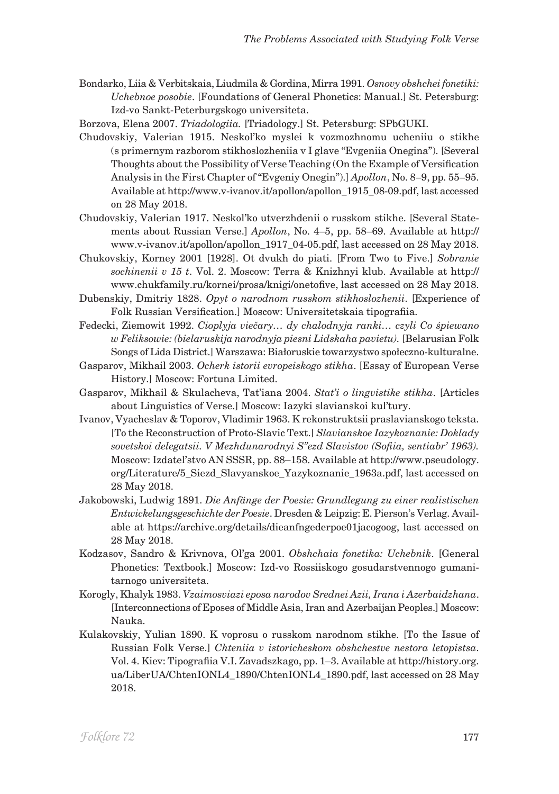- Bondarko, Liia & Verbitskaia, Liudmila & Gordina, Mirra 1991. *Osnovy obshchei fonetiki: Uchebnoe posobie*. [Foundations of General Phonetics: Manual.] St. Petersburg: Izd-vo Sankt-Peterburgskogo universiteta.
- Borzova, Elena 2007. *Triadologiia.* [Triadology.] St. Petersburg: SPbGUKI.
- Chudovskiy, Valerian 1915. Neskol'ko myslei k vozmozhnomu ucheniiu o stikhe (s primernym razborom stikhoslozheniia v I glave "Evgeniia Onegina"). [Several Thoughts about the Possibility of Verse Teaching (On the Example of Versification Analysis in the First Chapter of "Evgeniy Onegin").] *Apollon*, No. 8–9, pp. 55–95. Available at http://www.v-ivanov.it/apollon/apollon\_1915\_08-09.pdf, last accessed on 28 May 2018.
- Chudovskiy, Valerian 1917. Neskol'ko utverzhdenii o russkom stikhe. [Several Statements about Russian Verse.] *Apollon*, No. 4–5, pp. 58–69. Available at http:// www.v-ivanov.it/apollon/apollon\_1917\_04-05.pdf, last accessed on 28 May 2018.
- Chukovskiy, Korney 2001 [1928]. Ot dvukh do piati. [From Two to Five.] *Sobranie sochinenii v 15 t*. Vol. 2. Moscow: Terra & Knizhnyi klub. Available at http:// www.chukfamily.ru/kornei/prosa/knigi/onetofive, last accessed on 28 May 2018.
- Dubenskiy, Dmitriy 1828. *Opyt o narodnom russkom stikhoslozhenii*. [Experience of Folk Russian Versification.] Moscow: Universitetskaia tipografiia.
- Fedecki, Ziemowit 1992. *Cioplyja viečary… dy chalodnyja ranki… czyli Co śpiewano w Feliksowie: (bielaruskija narodnyja piesni Lidskaha pavietu).* [Belarusian Folk Songs of Lida District.] Warszawa: Białoruskie towarzystwo społeczno-kulturalne.
- Gasparov, Mikhail 2003. *Ocherk istorii evropeiskogo stikha*. [Essay of European Verse History.] Moscow: Fortuna Limited.
- Gasparov, Mikhail & Skulacheva, Tat'iana 2004. *Stat'i o lingvistike stikha*. [Articles about Linguistics of Verse.] Moscow: Iazyki slavianskoi kul'tury.
- Ivanov, Vyacheslav & Toporov, Vladimir 1963. K rekonstruktsii praslavianskogo teksta. [To the Reconstruction of Proto-Slavic Text.] *Slavianskoe Iazykoznanie: Doklady sovetskoi delegatsii. V Mezhdunarodnyi S"ezd Slavistov (Sofiia, sentiabr' 1963).*  Moscow: Izdatel'stvo AN SSSR, pp. 88–158. Available at http://www.pseudology. org/Literature/5\_Siezd\_Slavyanskoe\_Yazykoznanie\_1963a.pdf, last accessed on 28 May 2018.
- Jakobowski, Ludwig 1891. *Die Anfänge der Poesie: Grundlegung zu einer realistischen Entwickelungsgeschichte der Poesie*. Dresden & Leipzig: E. Pierson's Verlag. Available at https://archive.org/details/dieanfngederpoe01jacogoog, last accessed on 28 May 2018.
- Kodzasov, Sandro & Krivnova, Ol'ga 2001. *Obshchaia fonetika: Uchebnik*. [General Phonetics: Textbook.] Moscow: Izd-vo Rossiiskogo gosudarstvennogo gumanitarnogo universiteta.
- Korogly, Khalyk 1983. *Vzaimosviazi eposa narodov Srednei Azii, Irana i Azerbaidzhana*. [Interconnections of Eposes of Middle Asia, Iran and Azerbaijan Peoples.] Moscow: Nauka.
- Kulakovskiy, Yulian 1890. K voprosu o russkom narodnom stikhe. [To the Issue of Russian Folk Verse.] *Chteniia v istoricheskom obshchestve nestora letopistsa*. Vol. 4. Kiev: Tipografiia V.I. Zavadszkago, pp. 1–3. Available at http://history.org. ua/LiberUA/ChtenIONL4\_1890/ChtenIONL4\_1890.pdf, last accessed on 28 May 2018.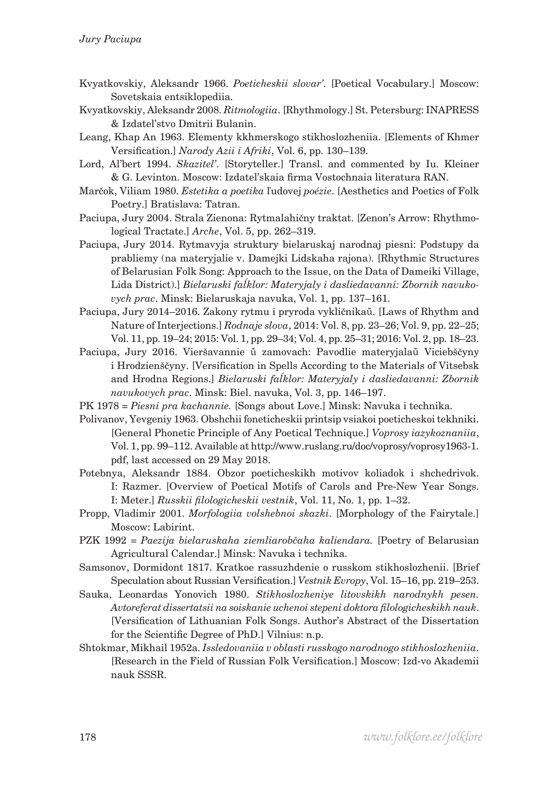- Kvyatkovskiy, Aleksandr 1966. *Poeticheskii slovar'*. [Poetical Vocabulary.] Moscow: Sovetskaia entsiklopediia.
- Kvyatkovskiy, Aleksandr 2008. *Ritmologiia*. [Rhythmology.] St. Petersburg: INAPRESS & Izdatel'stvo Dmitrii Bulanin.
- Leang, Khap An 1963. Elementy kkhmerskogo stikhoslozheniia. [Elements of Khmer Versification.] *Narody Azii i Afriki*, Vol. 6, pp. 130–139.
- Lord, Al'bert 1994. *Skazitel'*. [Storyteller.] Transl. and commented by Iu. Kleiner & G. Levinton. Moscow: Izdatel'skaia firma Vostochnaia literatura RAN.
- Marčok, Viliam 1980. *Estetika a poetika* ľudovej *poézie*. [Aesthetics and Poetics of Folk Poetry.] Bratislava: Tatran.
- Paciupa, Jury 2004. Strala Zienona: Rytmalahičny traktat. [Zenon's Arrow: Rhythmological Tractate.] *Arche*, Vol. 5, pp. 262–319.
- Paciupa, Jury 2014. Rytmavyja struktury bielaruskaj narodnaj piesni: Podstupy da prabliemy (na materyjalie v. Damejki Lidskaha rajona). [Rhythmic Structures of Belarusian Folk Song: Approach to the Issue, on the Data of Dameiki Village, Lida District).] *Bielaruski faĺklor: Materyjaly i dasliedavanni: Zbornik navukovych prac*. Minsk: Bielaruskaja navuka, Vol. 1, pp. 137–161.
- Paciupa, Jury 2014–2016. Zakony rytmu i pryroda vykličnikaŭ. [Laws of Rhythm and Nature of Interjections.] *Rodnaje slova*, 2014: Vol. 8, pp. 23–26; Vol. 9, pp. 22–25; Vol. 11, pp. 19–24; 2015: Vol. 1, pp. 29–34; Vol. 4, pp. 25–31; 2016: Vol. 2, pp. 18–23.
- Paciupa, Jury 2016. Vieršavannie ŭ zamovach: Pavodlie materyjalaŭ Viciebščyny i Hrodzienščyny. [Versification in Spells According to the Materials of Vitsebsk and Hrodna Regions.] *Bielaruski faĺklor: Materyjaly i dasliedavanni: Zbornik navukovych prac*. Minsk: Biel. navuka, Vol. 3, pp. 146–197.
- PK 1978 = *Piesni pra kachannie.* [Songs about Love.] Minsk: Navuka i technika.
- Polivanov, Yevgeniy 1963. Obshchii foneticheskii printsip vsiakoi poeticheskoi tekhniki. [General Phonetic Principle of Any Poetical Technique.] *Voprosy iazykoznaniia*, Vol. 1, pp. 99–112. Available at http://www.ruslang.ru/doc/voprosy/voprosy1963-1. pdf, last accessed on 29 May 2018.
- Potebnya, Aleksandr 1884. Obzor poeticheskikh motivov koliadok i shchedrivok. I: Razmer. [Overview of Poetical Motifs of Carols and Pre-New Year Songs. I: Meter.] *Russkii filologicheskii vestnik*, Vol. 11, No. 1, pp. 1–32.
- Propp, Vladimir 2001. *Morfologiia volshebnoi skazki*. [Morphology of the Fairytale.] Moscow: Labirint.
- PZK 1992 = *Paezija bielaruskaha ziemliarobčaha kaliendara.* [Poetry of Belarusian Agricultural Calendar.] Minsk: Navuka i technika.
- Samsonov, Dormidont 1817. Kratkoe rassuzhdenie o russkom stikhoslozhenii. [Brief Speculation about Russian Versification.] *Vestnik Evropy*, Vol. 15–16, pp. 219–253.
- Sauka, Leonardas Yonovich 1980. *Stikhoslozheniye litovskikh narodnykh pesen. Avtoreferat dissertatsii na soiskanie uchenoi stepeni doktora filologicheskikh nauk*. [Versification of Lithuanian Folk Songs. Author's Abstract of the Dissertation for the Scientific Degree of PhD.] Vilnius: n.p.
- Shtokmar, Mikhail 1952a. *Issledovaniia v oblasti russkogo narodnogo stikhoslozheniia*. [Research in the Field of Russian Folk Versification.] Moscow: Izd-vo Akademii nauk SSSR.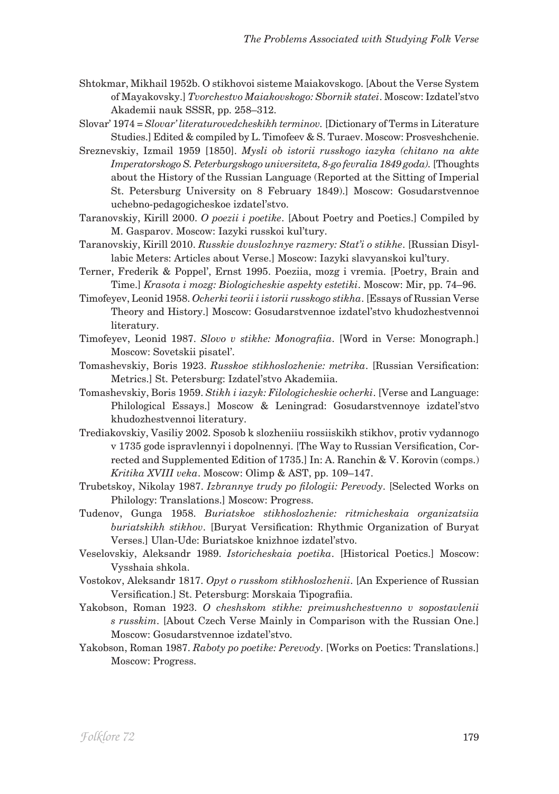- Shtokmar, Mikhail 1952b. O stikhovoi sisteme Maiakovskogo. [About the Verse System of Mayakovsky.] *Tvorchestvo Maiakovskogo: Sbornik statei*. Moscow: Izdatel'stvo Akademii nauk SSSR, pp. 258–312.
- Slovar' 1974 *= Slovar' literaturovedcheskikh terminov.* [Dictionary of Terms in Literature Studies.] Edited & compiled by L. Timofeev & S. Turaev. Moscow: Prosveshchenie.
- Sreznevskiy, Izmail 1959 [1850]. *Mysli ob istorii russkogo iazyka (chitano na akte Imperatorskogo S. Peterburgskogo universiteta, 8-go fevralia 1849 goda).* [Thoughts about the History of the Russian Language (Reported at the Sitting of Imperial St. Petersburg University on 8 February 1849).] Moscow: Gosudarstvennoe uchebno-pedagogicheskoe izdatel'stvo.
- Taranovskiy, Kirill 2000. *O poezii i poetike*. [About Poetry and Poetics.] Compiled by M. Gasparov. Moscow: Iazyki russkoi kul'tury.
- Taranovskiy, Kirill 2010. *Russkie dvuslozhnye razmery: Stat'i o stikhe*. [Russian Disyllabic Meters: Articles about Verse.] Moscow: Iazyki slavyanskoi kul'tury.
- Terner, Frederik & Poppel', Ernst 1995. Poeziia, mozg i vremia. [Poetry, Brain and Time.] *Krasota i mozg: Biologicheskie aspekty estetiki*. Moscow: Mir, pp. 74–96.
- Timofeyev, Leonid 1958. *Ocherki teorii i istorii russkogo stikha*. [Essays of Russian Verse Theory and History.] Moscow: Gosudarstvennoe izdatel'stvo khudozhestvennoi literatury.
- Timofeyev, Leonid 1987. *Slovo v stikhe: Monografiia*. [Word in Verse: Monograph.] Moscow: Sovetskii pisatel'.
- Tomashevskiy, Boris 1923. *Russkoe stikhoslozhenie: metrika*. [Russian Versification: Metrics.] St. Petersburg: Izdatel'stvo Akademiia.
- Tomashevskiy, Boris 1959. *Stikh i iazyk: Filologicheskie ocherki*. [Verse and Language: Philological Essays.] Moscow & Leningrad: Gosudarstvennoye izdatel'stvo khudozhestvennoi literatury.
- Trediakovskiy, Vasiliy 2002. Sposob k slozheniiu rossiiskikh stikhov, protiv vydannogo v 1735 gode ispravlennyi i dopolnennyi. [The Way to Russian Versification, Corrected and Supplemented Edition of 1735.] In: A. Ranchin & V. Korovin (comps.) *Kritika XVIII veka*. Moscow: Olimp & AST, pp. 109–147.
- Trubetskoy, Nikolay 1987. *Izbrannye trudy po filologii: Perevody*. [Selected Works on Philology: Translations.] Moscow: Progress.
- Tudenov, Gunga 1958. *Buriatskoe stikhoslozhenie: ritmicheskaia organizatsiia buriatskikh stikhov*. [Buryat Versification: Rhythmic Organization of Buryat Verses.] Ulan-Ude: Buriatskoe knizhnoe izdatel'stvo.
- Veselovskiy, Aleksandr 1989. *Istoricheskaia poetika*. [Historical Poetics.] Moscow: Vysshaia shkola.
- Vostokov, Aleksandr 1817. *Opyt o russkom stikhoslozhenii*. [An Experience of Russian Versification.] St. Petersburg: Morskaia Tipografiia.
- Yakobson, Roman 1923. *O cheshskom stikhe: preimushchestvenno v sopostavlenii s russkim*. [About Czech Verse Mainly in Comparison with the Russian One.] Moscow: Gosudarstvennoe izdatel'stvo.
- Yakobson, Roman 1987. *Raboty po poetike: Perevody*. [Works on Poetics: Translations.] Moscow: Progress.